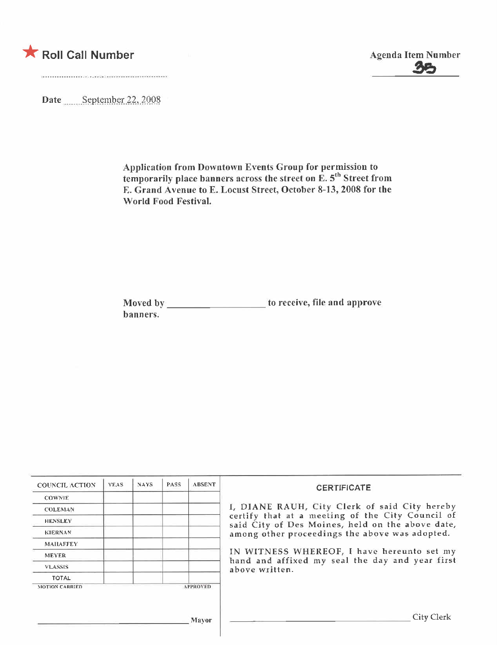

Date September 22, 2008

Application from Downtown Events Group for permission to temporarily place banners across the street on E. 5'" Street from E. Grand Avenue to E. Locust Street, October 8-13, 2008 for the World Food Festival.

Moved by \_\_\_\_\_\_\_\_\_\_\_\_\_\_\_\_\_\_\_\_ to receive, file and approve hanners.

| <b>COUNCIL ACTION</b> | <b>YEAS</b> | NAYS. | <b>PASS</b> | <b>ABSENT</b>   | <b>CERTIFICATE</b>                                                                                                                                     |  |  |  |  |  |
|-----------------------|-------------|-------|-------------|-----------------|--------------------------------------------------------------------------------------------------------------------------------------------------------|--|--|--|--|--|
| <b>COWNIE</b>         |             |       |             |                 |                                                                                                                                                        |  |  |  |  |  |
| <b>COLEMAN</b>        |             |       |             |                 | I, DIANE RAUH, City Clerk of said City hereby                                                                                                          |  |  |  |  |  |
| <b>HENSLEY</b>        |             |       |             |                 | certify that at a meeting of the City Council of<br>said City of Des Moines, held on the above date,<br>among other proceedings the above was adopted. |  |  |  |  |  |
| <b>KIERNAN</b>        |             |       |             |                 |                                                                                                                                                        |  |  |  |  |  |
| <b>MAILAFFEY</b>      |             |       |             |                 |                                                                                                                                                        |  |  |  |  |  |
| <b>MEYER</b>          |             |       |             |                 | IN WITNESS WHEREOF, I have hereunto set my<br>hand and affixed my seal the day and year first                                                          |  |  |  |  |  |
| <b>VLASSIS</b>        |             |       |             |                 | above written.                                                                                                                                         |  |  |  |  |  |
| TOTAL                 |             |       |             |                 |                                                                                                                                                        |  |  |  |  |  |
| MOTION CARRIED        |             |       |             | <b>APPROVED</b> |                                                                                                                                                        |  |  |  |  |  |
|                       |             |       |             | Mayor           | City Clerk                                                                                                                                             |  |  |  |  |  |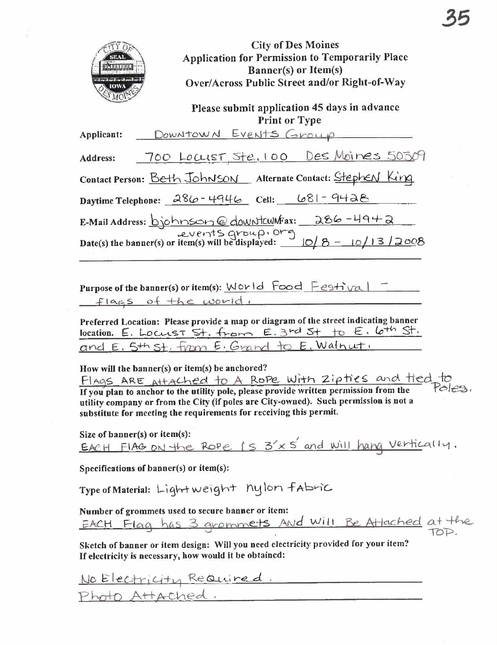

**City of Des Moines** Application for Permission to Temporarily Place Banner(s) or Item(s) Over/Across Public Street and/or Right-of-Way

## Please submit application 45 days in advance **Print or Type**

| Applicant:                                     | DOWNTOWN EVENTS Group                                                                   |  |  |
|------------------------------------------------|-----------------------------------------------------------------------------------------|--|--|
| Address:                                       | 700 Locust, Ste, 100 Des Moines 50509                                                   |  |  |
|                                                | Contact Person: Beth Johnson Alternate Contact: Stephen King                            |  |  |
|                                                | Daytime Telephone: $286 - 4946$ Cell: $681 - 9428$                                      |  |  |
| E-Mail Address: bjohnson@downtcwnFax: 286-4942 |                                                                                         |  |  |
|                                                | Date(s) the banner(s) or item(s) will be displayed: $\frac{10}{8} - \frac{10}{13}$ 2008 |  |  |

Purpose of the banner(s) or item(s): World Food Festival flags of the world,

Preferred Location: Please provide a map or diagram of the street indicating banner location. E. LOCUST St. from E. 3rd St to E. 6th St. and E. 5th st. from E. Grand to E. Walnut.

How will the banner(s) or item(s) be anchored?

FLAGS ARE Attached to A Rope with Zipties and tied to If you plan to anchor to the utility pole, please provide written permission from the Pales, utility company or from the City (if poles are City-owned). Such permission is not a substitute for meeting the requirements for receiving this permit.

Size of  $banner(s)$  or item(s): EACH FIAG ON the Rope  $(s, s' \times s'$  and will hang vertically.

Specifications of banner(s) or item(s):

Type of Material: Light weight nylon fabric

Number of grommets used to secure banner or item: EACH Flag has 3 grommets And Will Be Attached at the

Sketch of banner or item design: Will you need electricity provided for your item? If electricity is necessary, how would it be obtained:

No Electricity Required. Photo Attached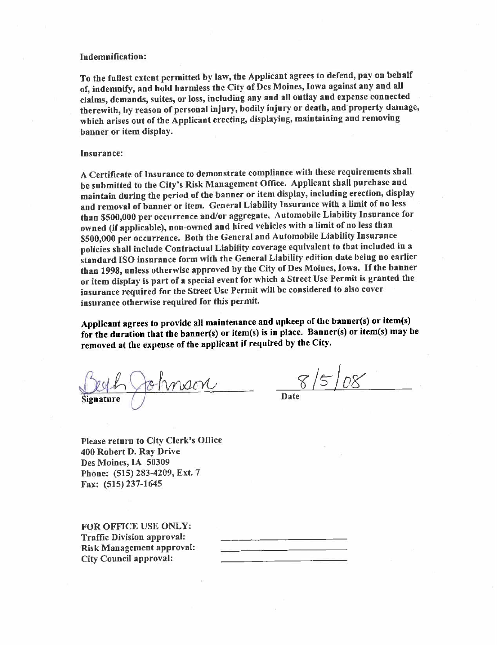### Indemnifcation:

To the fullest extent permitted by law, the Applicant agrees to defend, pay on behalf of, indemnify, and hold harmless the City of Des Moines, Iowa against any and all claims, demands, suites, or loss, including any and all outlay and expense connected therewith, by reason of personal injury, bodily injury or death, and property damage, which arises out of the Applicant erecting, displaying, maintaining and removing banner or item display.

#### Insurance:

A Certificate of Insurance to demonstrate compliance with these requirements shall be submitted to the City's Risk Management Office. Applicant shall purchase and maintain during the period of the banner or item display, including erection, display and removal of banner or item. General Liability Insurance with a limit of no less than \$500,000 per occurrence and/or aggregate, Automobile Liabilty Insurance for owned (if applicable), non-owned and hired vehicles with a limit of no less than \$500,000 per occurrence. Both the General and Automobile Liabilty Insurance policies shall include Contractual Liabilty coverage equivalent to that included in a standard ISO insurance form with the General Liabilty edition date being no earlier than 1998, unless otherwise approved by the City of Des Moines, Iowa. If the banner or item display is part of a special event for which a Street Use Permit is granted the insurance required for the Street Use Permit will be considered to also cover insurance otherwise required for this permit.

Applicant agrees to provide all maintenance and upkeep of the banner(s) or item(s) for the duration that the banner(s) or item(s) is in place. Banner(s) or item(s) may be removed at the expense of the applicant if required by the City.

Signature de trinsiere de la SISIOS

Date

Please return to City Clerk's Office 400 Robert D. Ray Drive Des Moines, IA 50309 Phone: (515) 283-4209, Ext. 7 Fax: (515) 237-1645

FOR OFFICE USE ONLY: Traffic Division approval: Risk Management approval: City Council approval: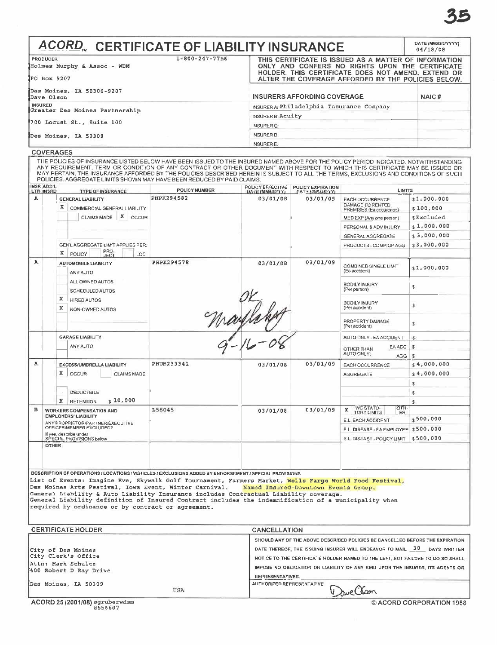# **ACORD**<sub>"</sub> CERTIFICATE OF LIABILITY INSURANCE

| <b>PRODUCER</b>                         | $1 - 800 - 247 - 7756$ | THIS CERTIFICATE IS ISSUED AS A MATTER OF INFORMATION                                                    |       |  |  |
|-----------------------------------------|------------------------|----------------------------------------------------------------------------------------------------------|-------|--|--|
| Holmes Murphy & Assoc - WDM             |                        | ONLY AND CONFERS NO RIGHTS UPON THE CERTIFICATE                                                          |       |  |  |
| PO Box 9207                             |                        | HOLDER. THIS CERTIFICATE DOES NOT AMEND. EXTEND OR<br>ALTER THE COVERAGE AFFORDED BY THE POLICIES BELOW. |       |  |  |
| Des Moines, IA 50306-9207<br>Dave Olson |                        | <b>INSURERS AFFORDING COVERAGE</b>                                                                       | NAIC# |  |  |
| <b>INSURED</b>                          |                        | INSURER A Philadelphia Insurance Company                                                                 |       |  |  |
| Greater Des Moines Partnership          |                        | INSURER B Acuity                                                                                         |       |  |  |
| 700 Locust St., Suite 100               |                        | <b>INSURER C:</b>                                                                                        |       |  |  |
| Des Moines, IA 50309                    |                        | <b>INSURER D</b>                                                                                         |       |  |  |
|                                         |                        | <b>INSURER E.</b>                                                                                        |       |  |  |

#### **COVERAGES**

THE POLICIES OF INSURANCE LISTED BELOW HAVE BEEN ISSUED TO THE INSURED NAMED ABOVE FOR THE POLICY PERIOD INDICATED, NOTWITHSTANDING ANY REQUIREMENT, TERM OR CONDITION OF ANY CONTRACT OR OTHER DOCUMENT WITH RESPECT TO WHICH INSR ADD'L POLICY EFFECTIVE | POLICY EXPIRATION

| <b>LTR_INSRD</b>                                                                            | <b>TYPE OF INSURANCE</b>                                                                                                                                                                                                                                                                                                                           | <b>POLICY NUMBER</b> | <b>DATE (MMAXD/TT)</b> | <b>CATE NAMED OF YE</b> | <b>LIMITS</b>                                                                 |                          |
|---------------------------------------------------------------------------------------------|----------------------------------------------------------------------------------------------------------------------------------------------------------------------------------------------------------------------------------------------------------------------------------------------------------------------------------------------------|----------------------|------------------------|-------------------------|-------------------------------------------------------------------------------|--------------------------|
| A                                                                                           | GENERAL LIABILITY<br>х.<br>COMMERCIAL GENERAL LIABILITY                                                                                                                                                                                                                                                                                            | PHPK294582           | 03/01/08               | 03/01/09                | <b>EACH OCCURRENCE</b><br>DAMAGE TO RENTED<br>PREMISES (Ea occurence)         | \$1,000,000<br>\$100,000 |
|                                                                                             | $X$ $occUR$<br><b>CLAIMS MADE</b>                                                                                                                                                                                                                                                                                                                  |                      |                        |                         | MED EXP (Any one person)                                                      | \$Excluded               |
|                                                                                             |                                                                                                                                                                                                                                                                                                                                                    |                      |                        |                         | PERSONAL & ADV INJURY.                                                        | \$1,000,000              |
|                                                                                             |                                                                                                                                                                                                                                                                                                                                                    |                      |                        |                         | GENERAL AGGREGATE                                                             | \$3,000,000              |
|                                                                                             | GEN'L AGGREGATE LIMIT APPLIES PER.<br>PRO-<br>JECT<br>x<br>POLICY<br>LOC                                                                                                                                                                                                                                                                           |                      |                        |                         | PRODUCTS - COMP/OP AGG                                                        | \$3,000,000              |
| A                                                                                           | <b>AUTOMOBILE LIABILITY</b><br>ANY AUTO                                                                                                                                                                                                                                                                                                            | <b>PHPK294578</b>    | 03/01/08               | 03/01/09                | COMBINED SINGLE LIMIT<br>(Ea accident)                                        | \$1,000,000              |
|                                                                                             | ALL OWNED AUTOS<br>SCHEDULED AUTOS                                                                                                                                                                                                                                                                                                                 |                      |                        |                         | <b>BODILY INJURY</b><br>(Per person)                                          | \$                       |
|                                                                                             | x<br><b>HIRED AUTOS</b><br>x<br>NON-OWNED AUTOS                                                                                                                                                                                                                                                                                                    |                      |                        |                         | BODILY INJURY<br>(Per accident)                                               | \$.                      |
|                                                                                             |                                                                                                                                                                                                                                                                                                                                                    | Maylan               |                        |                         | PROPERTY DAMAGE<br>(Per accident)                                             | £.                       |
| <b>GARAGE LIABILITY</b><br>ANY AUTO                                                         |                                                                                                                                                                                                                                                                                                                                                    |                      |                        |                         | AUTO INLY - EA ACCIDENT.                                                      | $\mathsf{S}$             |
|                                                                                             |                                                                                                                                                                                                                                                                                                                                                    |                      |                        |                         | EA ACC<br><b>OTHER THAN</b>                                                   | \$                       |
|                                                                                             |                                                                                                                                                                                                                                                                                                                                                    |                      |                        |                         | AUTO ONLY:<br>AGG.                                                            | \$                       |
| А                                                                                           | EXCESS/UMBRELLA LIABILITY                                                                                                                                                                                                                                                                                                                          | PHUB233341           | 03/01/08               | 03/01/09                | EACH OCCURRENCE                                                               | \$4,000,000              |
|                                                                                             | x.<br><b>OCCUR</b><br><b>CLAIMS MADE</b>                                                                                                                                                                                                                                                                                                           |                      |                        |                         | <b>AGGREGATE</b>                                                              | \$4,000,000              |
|                                                                                             |                                                                                                                                                                                                                                                                                                                                                    |                      |                        |                         |                                                                               | \$                       |
|                                                                                             | DEDUCTIBLE                                                                                                                                                                                                                                                                                                                                         |                      |                        |                         |                                                                               | £.                       |
|                                                                                             | \$10,000<br>x<br><b>RETENTION</b>                                                                                                                                                                                                                                                                                                                  |                      |                        |                         |                                                                               | s                        |
| B                                                                                           | <b>WORKERS COMPENSATION AND</b>                                                                                                                                                                                                                                                                                                                    | L56045               | 03/01/08               | 03/01/09                | ਨਾਜ<br><b>X</b> WC STATU-<br>ER                                               |                          |
| <b>EMPLOYERS' LIABILITY</b><br>ANY PROPRIETOR/PARTNER/EXECUTIVE<br>OFFICER/MEMBER EXCLUDED? |                                                                                                                                                                                                                                                                                                                                                    |                      |                        |                         | E.L. EACH ACCIDENT                                                            | $s$ 500,000              |
|                                                                                             |                                                                                                                                                                                                                                                                                                                                                    |                      |                        |                         | E.L. DISEASE - EA EMPLOYEE \$500,000                                          |                          |
| If yes, describe under<br>SPECIAL PROVISIONS below                                          |                                                                                                                                                                                                                                                                                                                                                    |                      |                        |                         | E.L. DISEASE - POLICY LIMIT \$500,000                                         |                          |
| <b>DTHER</b>                                                                                |                                                                                                                                                                                                                                                                                                                                                    |                      |                        |                         |                                                                               |                          |
|                                                                                             | DESCRIPTION OF OPERATIONS / LOCATIONS / VEHICLES / EXCLUSIONS ADDED BY ENDORSEMENT / SPECIAL PROVISIONS                                                                                                                                                                                                                                            |                      |                        |                         |                                                                               |                          |
|                                                                                             | List of Events: Imagine Eve, Skywalk Golf Tournament, Farmers Market, Wells Fargo World Food Festival,                                                                                                                                                                                                                                             |                      |                        |                         |                                                                               |                          |
|                                                                                             | Des Moines Arts Pestival, Iowa Event, Winter Carnival. Named Insured-Downtown Events Group.<br>General Liability & Auto Liability Insurance includes Contractual Liability coverage.<br>General Liability definition of Insured Contract includes the indemnification of a municipality when<br>required by ordinance or by contract or agreement. |                      |                        |                         |                                                                               |                          |
|                                                                                             |                                                                                                                                                                                                                                                                                                                                                    |                      |                        |                         |                                                                               |                          |
|                                                                                             | <b>CERTIFICATE HOLDER</b>                                                                                                                                                                                                                                                                                                                          |                      | <b>CANCELLATION</b>    |                         |                                                                               |                          |
|                                                                                             |                                                                                                                                                                                                                                                                                                                                                    |                      |                        |                         | SHOULD ANY OF THE ABOVE DESCRIBED POLICIES BE CANCELLED BEFORE THE EXPIRATION |                          |
|                                                                                             | City of Des Moines                                                                                                                                                                                                                                                                                                                                 |                      |                        |                         | DATE THEREOF, THE ISSUING INSURER WILL ENDEAVOR TO MAIL.                      | 30<br>DAYS WRITTEN       |

| ISTAN DE MAN MOTHUM<br>City Clerk's Office   |     | NOTICE TO THE CERTIFICATE HOLDER NAMED TO THE LEFT, BUT FAILURE TO DO SO SHALL- |
|----------------------------------------------|-----|---------------------------------------------------------------------------------|
| Attn: Mark Schultz<br>400 Robert D Ray Drive |     | IMPOSE NO OBLIGATION OR LIABILITY OF ANY KIND UPON THE INSURER. ITS AGENTS OR   |
| Des Moines, IA 50309                         | USA | <b>REPRESENTATIVES.</b><br><b>AUTHORIZED REPRESENTATIVE</b><br>v aveller        |
|                                              |     |                                                                                 |

DATE (MM/DO/YYYY)  $04/18/08$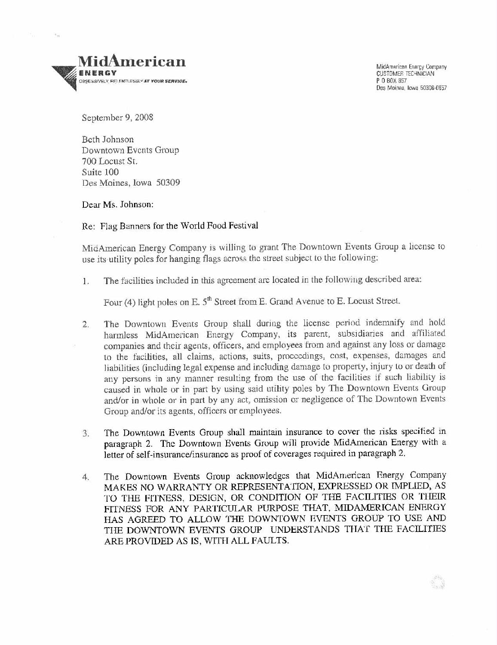

 $\tilde{\Sigma}_{\rm eff}$ 

MidAmerican Enargy Company CUSTOMER TECHNICIAN POB<sub>OX</sub> 857 Das Moines, Iowa 50306-0657

September 9, 2008

Beth Johnson Downtown Events Group 700 Locust St. Suite 100 Des Moines, Iowa 50309

Dear Ms. Johnson:

Re: Flag Banners for the World Food Festival

MidAmerican Energy Company is willing to grant The Downtown Events Group a license to use its utility poles for hanging flags across the street subject to the following:

1. The facilities included in this agreement arc located in the following described area:

Four (4) light poles on E. 5<sup>th</sup> Street from E. Grand Avenue to E. Locust Street.

- 2. The Downtown Events Group shall during the license period indemnify and hold harmless MidAmerican Energy Company, its parent, subsidiaries and affiliated companies and their agents, officers, and employees from and against any loss or damage to the facilities, all claims, actions, suits, proceedings, cost, expenses, damages and liabilities (including legal expense and including damage to property, injury to or death of any persons in any manner resulting from the use of the facilities if such liability is caused in whole or in part by using said utility poles by The Downtown Events Group and/or in whole or in parl by any act, omission or negligence of The Downtown Events Group and/or its agents, officers or employees.
- 3. The Downtown Events Group shall maintain insurance to cover the tisks specified in paragraph 2. The Downtown Events Group will provide MidAmerican Energy with a letter of self-insurance/insurance as proof of coverages required in paragraph 2.
- 4. The Downtown Events Group acknowledges that MidAmerican Energy Company MAKES NO WARRANTY OR REPRESENTATION, EXPRESSED OR IMPLIED, AS TO THE FITNESS, DESIGN, OR CONDITION OF THE FACILITIES OR THEIR FITNESS FOR ANY PARTICULAR PURPOSE THAT, MIDAMERICAN ENERGY HAS AGREED TO ALLOW THE DOWNTOWN EVENTS GROUP TO USE AND THE DOWNTOWN EVENTS GROUP UNDERSTANDS THAT THE FACILITIES ARE PROVIDED AS IS, WITH ALL FAULTS.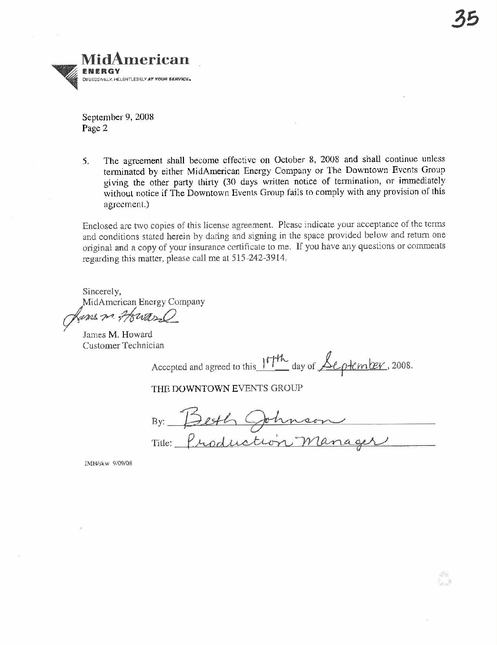September 9, 20U8 Pagc 2

5. The agreement shall become effective on October 8, 2008 and shall continue unless terminated by either MidAmerican Energy Company or The Downtown Events Group giving the other party thirty (30 days written notice of termination, or immediately without notice if The Downtown Events Group fails to comply with any provision of this agreement.)

Enclosed arc two copies of this license agreement. Please indicate your acceptance of the terms and conditions stated herein by dating and signing in the space provided below and return one original and a copy of your insurance certificate to me. If you have any questions or comments regarding this matter, please call me at 515-242-3914.

Sincerely, MidAmcrican Energy Company

*ans m. Howard*<br>James M. Howard Customer Technician

Accepted and agreed to this 17th day of <u>September</u>, 2008.

THE DOWNTOWN EVENTS GROUP<br>By: Besth Ophnson Tille: Production manager

JMH/skw 9/09/08

Uf a